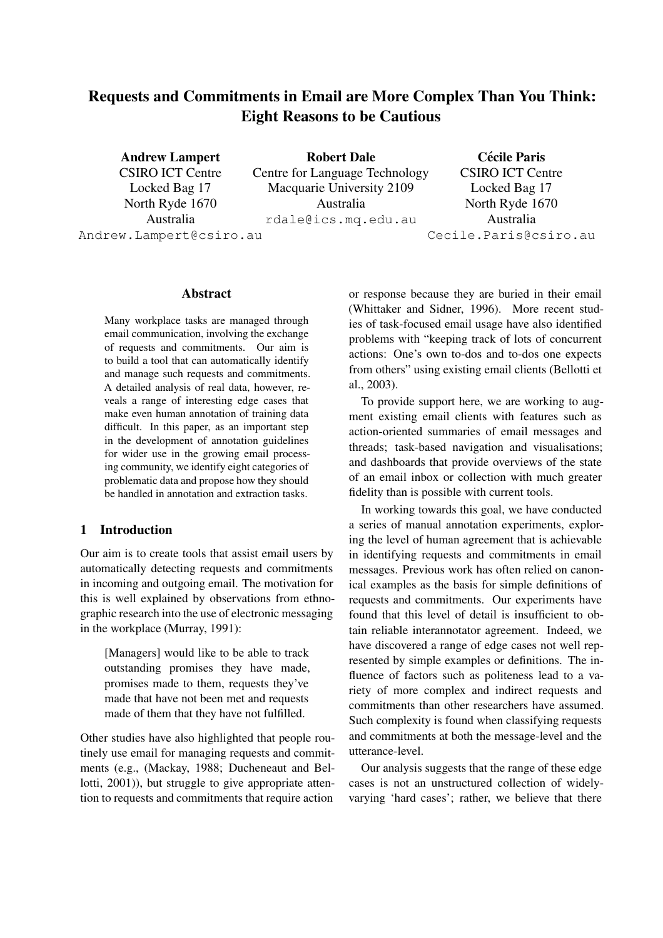# Requests and Commitments in Email are More Complex Than You Think: Eight Reasons to be Cautious

Andrew Lampert

CSIRO ICT Centre Locked Bag 17 North Ryde 1670 Australia Andrew.Lampert@csiro.au

Robert Dale Centre for Language Technology Macquarie University 2109 Australia rdale@ics.mq.edu.au

Cécile Paris CSIRO ICT Centre Locked Bag 17 North Ryde 1670 Australia Cecile.Paris@csiro.au

#### Abstract

Many workplace tasks are managed through email communication, involving the exchange of requests and commitments. Our aim is to build a tool that can automatically identify and manage such requests and commitments. A detailed analysis of real data, however, reveals a range of interesting edge cases that make even human annotation of training data difficult. In this paper, as an important step in the development of annotation guidelines for wider use in the growing email processing community, we identify eight categories of problematic data and propose how they should be handled in annotation and extraction tasks.

#### 1 Introduction

Our aim is to create tools that assist email users by automatically detecting requests and commitments in incoming and outgoing email. The motivation for this is well explained by observations from ethnographic research into the use of electronic messaging in the workplace (Murray, 1991):

[Managers] would like to be able to track outstanding promises they have made, promises made to them, requests they've made that have not been met and requests made of them that they have not fulfilled.

Other studies have also highlighted that people routinely use email for managing requests and commitments (e.g., (Mackay, 1988; Ducheneaut and Bellotti, 2001)), but struggle to give appropriate attention to requests and commitments that require action

or response because they are buried in their email (Whittaker and Sidner, 1996). More recent studies of task-focused email usage have also identified problems with "keeping track of lots of concurrent actions: One's own to-dos and to-dos one expects from others" using existing email clients (Bellotti et al., 2003).

To provide support here, we are working to augment existing email clients with features such as action-oriented summaries of email messages and threads; task-based navigation and visualisations; and dashboards that provide overviews of the state of an email inbox or collection with much greater fidelity than is possible with current tools.

In working towards this goal, we have conducted a series of manual annotation experiments, exploring the level of human agreement that is achievable in identifying requests and commitments in email messages. Previous work has often relied on canonical examples as the basis for simple definitions of requests and commitments. Our experiments have found that this level of detail is insufficient to obtain reliable interannotator agreement. Indeed, we have discovered a range of edge cases not well represented by simple examples or definitions. The influence of factors such as politeness lead to a variety of more complex and indirect requests and commitments than other researchers have assumed. Such complexity is found when classifying requests and commitments at both the message-level and the utterance-level.

Our analysis suggests that the range of these edge cases is not an unstructured collection of widelyvarying 'hard cases'; rather, we believe that there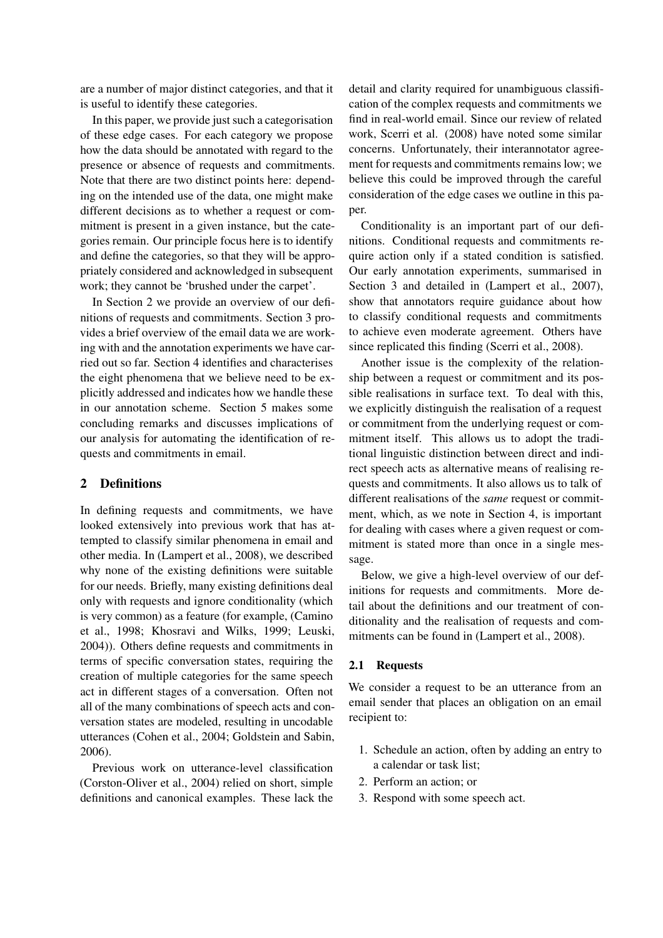are a number of major distinct categories, and that it is useful to identify these categories.

In this paper, we provide just such a categorisation of these edge cases. For each category we propose how the data should be annotated with regard to the presence or absence of requests and commitments. Note that there are two distinct points here: depending on the intended use of the data, one might make different decisions as to whether a request or commitment is present in a given instance, but the categories remain. Our principle focus here is to identify and define the categories, so that they will be appropriately considered and acknowledged in subsequent work; they cannot be 'brushed under the carpet'.

In Section 2 we provide an overview of our definitions of requests and commitments. Section 3 provides a brief overview of the email data we are working with and the annotation experiments we have carried out so far. Section 4 identifies and characterises the eight phenomena that we believe need to be explicitly addressed and indicates how we handle these in our annotation scheme. Section 5 makes some concluding remarks and discusses implications of our analysis for automating the identification of requests and commitments in email.

## 2 Definitions

In defining requests and commitments, we have looked extensively into previous work that has attempted to classify similar phenomena in email and other media. In (Lampert et al., 2008), we described why none of the existing definitions were suitable for our needs. Briefly, many existing definitions deal only with requests and ignore conditionality (which is very common) as a feature (for example, (Camino et al., 1998; Khosravi and Wilks, 1999; Leuski, 2004)). Others define requests and commitments in terms of specific conversation states, requiring the creation of multiple categories for the same speech act in different stages of a conversation. Often not all of the many combinations of speech acts and conversation states are modeled, resulting in uncodable utterances (Cohen et al., 2004; Goldstein and Sabin, 2006).

Previous work on utterance-level classification (Corston-Oliver et al., 2004) relied on short, simple definitions and canonical examples. These lack the

detail and clarity required for unambiguous classification of the complex requests and commitments we find in real-world email. Since our review of related work, Scerri et al. (2008) have noted some similar concerns. Unfortunately, their interannotator agreement for requests and commitments remains low; we believe this could be improved through the careful consideration of the edge cases we outline in this paper.

Conditionality is an important part of our definitions. Conditional requests and commitments require action only if a stated condition is satisfied. Our early annotation experiments, summarised in Section 3 and detailed in (Lampert et al., 2007), show that annotators require guidance about how to classify conditional requests and commitments to achieve even moderate agreement. Others have since replicated this finding (Scerri et al., 2008).

Another issue is the complexity of the relationship between a request or commitment and its possible realisations in surface text. To deal with this, we explicitly distinguish the realisation of a request or commitment from the underlying request or commitment itself. This allows us to adopt the traditional linguistic distinction between direct and indirect speech acts as alternative means of realising requests and commitments. It also allows us to talk of different realisations of the *same* request or commitment, which, as we note in Section 4, is important for dealing with cases where a given request or commitment is stated more than once in a single message.

Below, we give a high-level overview of our definitions for requests and commitments. More detail about the definitions and our treatment of conditionality and the realisation of requests and commitments can be found in (Lampert et al., 2008).

## 2.1 Requests

We consider a request to be an utterance from an email sender that places an obligation on an email recipient to:

- 1. Schedule an action, often by adding an entry to a calendar or task list;
- 2. Perform an action; or
- 3. Respond with some speech act.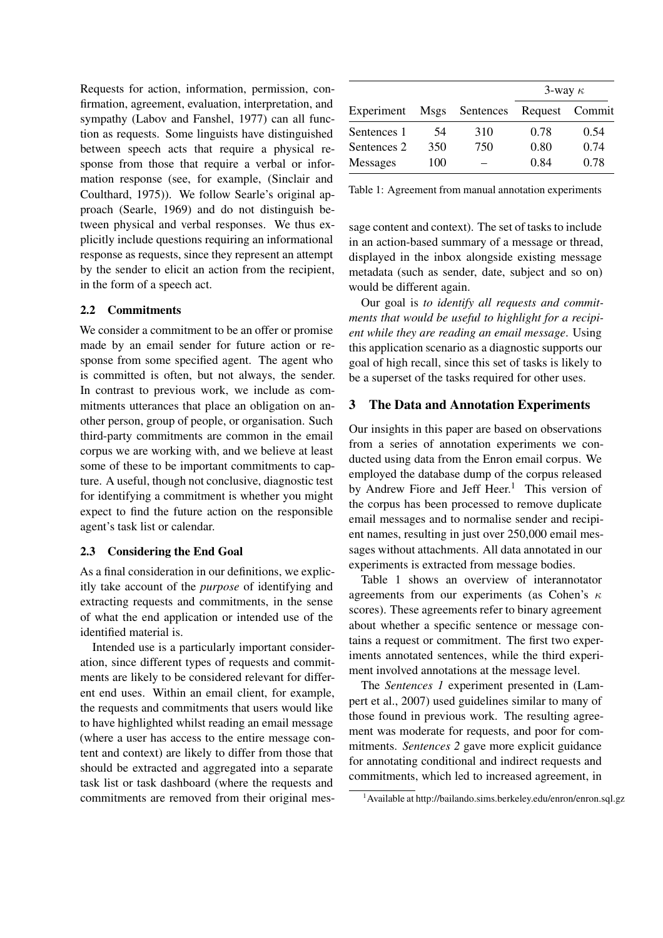Requests for action, information, permission, confirmation, agreement, evaluation, interpretation, and sympathy (Labov and Fanshel, 1977) can all function as requests. Some linguists have distinguished between speech acts that require a physical response from those that require a verbal or information response (see, for example, (Sinclair and Coulthard, 1975)). We follow Searle's original approach (Searle, 1969) and do not distinguish between physical and verbal responses. We thus explicitly include questions requiring an informational response as requests, since they represent an attempt by the sender to elicit an action from the recipient, in the form of a speech act.

#### 2.2 Commitments

We consider a commitment to be an offer or promise made by an email sender for future action or response from some specified agent. The agent who is committed is often, but not always, the sender. In contrast to previous work, we include as commitments utterances that place an obligation on another person, group of people, or organisation. Such third-party commitments are common in the email corpus we are working with, and we believe at least some of these to be important commitments to capture. A useful, though not conclusive, diagnostic test for identifying a commitment is whether you might expect to find the future action on the responsible agent's task list or calendar.

#### 2.3 Considering the End Goal

As a final consideration in our definitions, we explicitly take account of the *purpose* of identifying and extracting requests and commitments, in the sense of what the end application or intended use of the identified material is.

Intended use is a particularly important consideration, since different types of requests and commitments are likely to be considered relevant for different end uses. Within an email client, for example, the requests and commitments that users would like to have highlighted whilst reading an email message (where a user has access to the entire message content and context) are likely to differ from those that should be extracted and aggregated into a separate task list or task dashboard (where the requests and commitments are removed from their original mes-

|                 |      |           | 3-way $\kappa$ |                |
|-----------------|------|-----------|----------------|----------------|
| Experiment      | Msgs | Sentences |                | Request Commit |
| Sentences 1     | 54   | 310       | 0.78           | 0.54           |
| Sentences 2     | 350  | 750       | 0.80           | 0.74           |
| <b>Messages</b> | 100  |           | 0.84           | 0.78           |

Table 1: Agreement from manual annotation experiments

sage content and context). The set of tasks to include in an action-based summary of a message or thread, displayed in the inbox alongside existing message metadata (such as sender, date, subject and so on) would be different again.

Our goal is *to identify all requests and commitments that would be useful to highlight for a recipient while they are reading an email message*. Using this application scenario as a diagnostic supports our goal of high recall, since this set of tasks is likely to be a superset of the tasks required for other uses.

#### 3 The Data and Annotation Experiments

Our insights in this paper are based on observations from a series of annotation experiments we conducted using data from the Enron email corpus. We employed the database dump of the corpus released by Andrew Fiore and Jeff Heer.<sup>1</sup> This version of the corpus has been processed to remove duplicate email messages and to normalise sender and recipient names, resulting in just over 250,000 email messages without attachments. All data annotated in our experiments is extracted from message bodies.

Table 1 shows an overview of interannotator agreements from our experiments (as Cohen's  $\kappa$ scores). These agreements refer to binary agreement about whether a specific sentence or message contains a request or commitment. The first two experiments annotated sentences, while the third experiment involved annotations at the message level.

The *Sentences 1* experiment presented in (Lampert et al., 2007) used guidelines similar to many of those found in previous work. The resulting agreement was moderate for requests, and poor for commitments. *Sentences 2* gave more explicit guidance for annotating conditional and indirect requests and commitments, which led to increased agreement, in

<sup>1</sup>Available at http://bailando.sims.berkeley.edu/enron/enron.sql.gz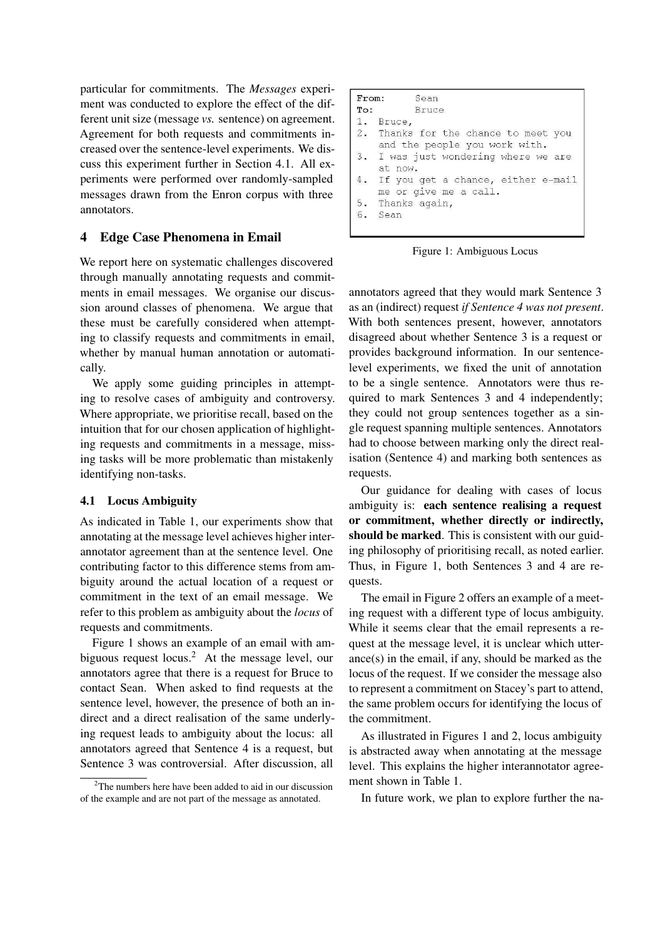particular for commitments. The *Messages* experiment was conducted to explore the effect of the different unit size (message *vs.* sentence) on agreement. Agreement for both requests and commitments increased over the sentence-level experiments. We discuss this experiment further in Section 4.1. All experiments were performed over randomly-sampled messages drawn from the Enron corpus with three annotators.

## 4 Edge Case Phenomena in Email

We report here on systematic challenges discovered through manually annotating requests and commitments in email messages. We organise our discussion around classes of phenomena. We argue that these must be carefully considered when attempting to classify requests and commitments in email, whether by manual human annotation or automatically.

We apply some guiding principles in attempting to resolve cases of ambiguity and controversy. Where appropriate, we prioritise recall, based on the intuition that for our chosen application of highlighting requests and commitments in a message, missing tasks will be more problematic than mistakenly identifying non-tasks.

## 4.1 Locus Ambiguity

As indicated in Table 1, our experiments show that annotating at the message level achieves higher interannotator agreement than at the sentence level. One contributing factor to this difference stems from ambiguity around the actual location of a request or commitment in the text of an email message. We refer to this problem as ambiguity about the *locus* of requests and commitments.

Figure 1 shows an example of an email with ambiguous request locus.<sup>2</sup> At the message level, our annotators agree that there is a request for Bruce to contact Sean. When asked to find requests at the sentence level, however, the presence of both an indirect and a direct realisation of the same underlying request leads to ambiguity about the locus: all annotators agreed that Sentence 4 is a request, but Sentence 3 was controversial. After discussion, all

|    | <b>From:</b> Sean                    |
|----|--------------------------------------|
|    | To: Bruce                            |
|    | 1. Bruce.                            |
|    | 2. Thanks for the chance to meet you |
|    | and the people you work with.        |
|    | 3. I was just wondering where we are |
|    | at now.                              |
| 4. | If you get a chance, either e-mail   |
|    | me or give me a call.                |
|    | 5. Thanks again,                     |
|    | 6. Sean                              |
|    |                                      |

Figure 1: Ambiguous Locus

annotators agreed that they would mark Sentence 3 as an (indirect) request *if Sentence 4 was not present*. With both sentences present, however, annotators disagreed about whether Sentence 3 is a request or provides background information. In our sentencelevel experiments, we fixed the unit of annotation to be a single sentence. Annotators were thus required to mark Sentences 3 and 4 independently; they could not group sentences together as a single request spanning multiple sentences. Annotators had to choose between marking only the direct realisation (Sentence 4) and marking both sentences as requests.

Our guidance for dealing with cases of locus ambiguity is: each sentence realising a request or commitment, whether directly or indirectly, should be marked. This is consistent with our guiding philosophy of prioritising recall, as noted earlier. Thus, in Figure 1, both Sentences 3 and 4 are requests.

The email in Figure 2 offers an example of a meeting request with a different type of locus ambiguity. While it seems clear that the email represents a request at the message level, it is unclear which utterance(s) in the email, if any, should be marked as the locus of the request. If we consider the message also to represent a commitment on Stacey's part to attend, the same problem occurs for identifying the locus of the commitment.

As illustrated in Figures 1 and 2, locus ambiguity is abstracted away when annotating at the message level. This explains the higher interannotator agreement shown in Table 1.

In future work, we plan to explore further the na-

 $2$ The numbers here have been added to aid in our discussion of the example and are not part of the message as annotated.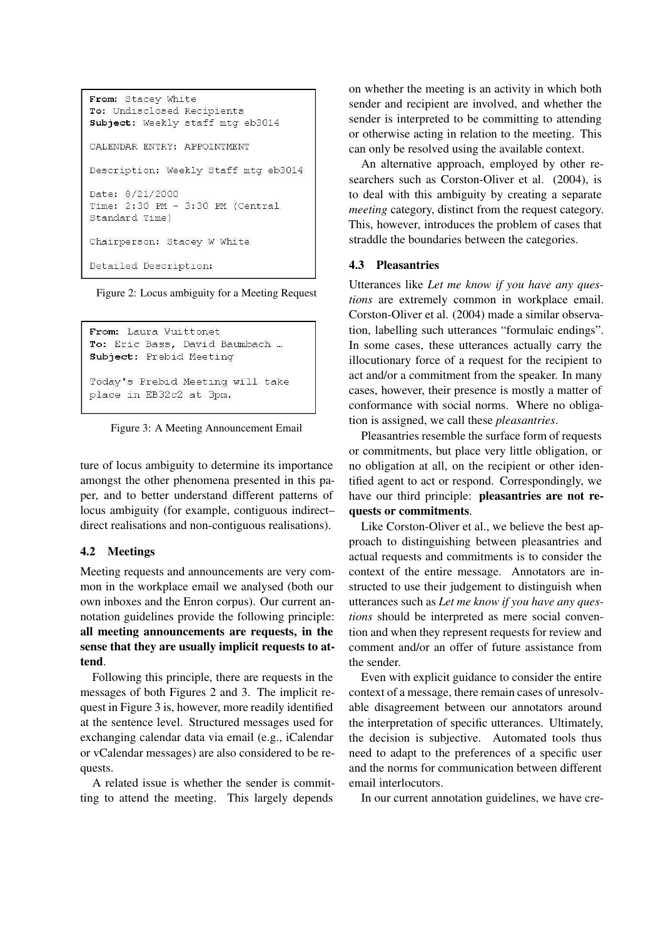```
From: Stacey White
To: Undisclosed Recipients
Subject: Weekly staff mtg eb3014
CALENDAR ENTRY: APPOINTMENT
Description: Weekly Staff mtg eb3014
Date: 8/21/2000
Time: 2:30 PM - 3:30 PM (Central
Standard Time)
Chairperson: Stacey W White
Detailed Description:
```
Figure 2: Locus ambiguity for a Meeting Request

```
From: Laura Vuittonet
To: Eric Bass, David Baumbach ...
Subject: Prebid Meeting
Today's Prebid Meeting will take
place in EB32c2 at 3pm.
```
Figure 3: A Meeting Announcement Email

ture of locus ambiguity to determine its importance amongst the other phenomena presented in this paper, and to better understand different patterns of locus ambiguity (for example, contiguous indirect– direct realisations and non-contiguous realisations).

## 4.2 Meetings

Meeting requests and announcements are very common in the workplace email we analysed (both our own inboxes and the Enron corpus). Our current annotation guidelines provide the following principle: all meeting announcements are requests, in the sense that they are usually implicit requests to attend.

Following this principle, there are requests in the messages of both Figures 2 and 3. The implicit request in Figure 3 is, however, more readily identified at the sentence level. Structured messages used for exchanging calendar data via email (e.g., iCalendar or vCalendar messages) are also considered to be requests.

A related issue is whether the sender is committing to attend the meeting. This largely depends

on whether the meeting is an activity in which both sender and recipient are involved, and whether the sender is interpreted to be committing to attending or otherwise acting in relation to the meeting. This can only be resolved using the available context.

An alternative approach, employed by other researchers such as Corston-Oliver et al. (2004), is to deal with this ambiguity by creating a separate *meeting* category, distinct from the request category. This, however, introduces the problem of cases that straddle the boundaries between the categories.

#### 4.3 Pleasantries

Utterances like *Let me know if you have any questions* are extremely common in workplace email. Corston-Oliver et al. (2004) made a similar observation, labelling such utterances "formulaic endings". In some cases, these utterances actually carry the illocutionary force of a request for the recipient to act and/or a commitment from the speaker. In many cases, however, their presence is mostly a matter of conformance with social norms. Where no obligation is assigned, we call these *pleasantries*.

Pleasantries resemble the surface form of requests or commitments, but place very little obligation, or no obligation at all, on the recipient or other identified agent to act or respond. Correspondingly, we have our third principle: **pleasantries are not re**quests or commitments.

Like Corston-Oliver et al., we believe the best approach to distinguishing between pleasantries and actual requests and commitments is to consider the context of the entire message. Annotators are instructed to use their judgement to distinguish when utterances such as *Let me know if you have any questions* should be interpreted as mere social convention and when they represent requests for review and comment and/or an offer of future assistance from the sender.

Even with explicit guidance to consider the entire context of a message, there remain cases of unresolvable disagreement between our annotators around the interpretation of specific utterances. Ultimately, the decision is subjective. Automated tools thus need to adapt to the preferences of a specific user and the norms for communication between different email interlocutors.

In our current annotation guidelines, we have cre-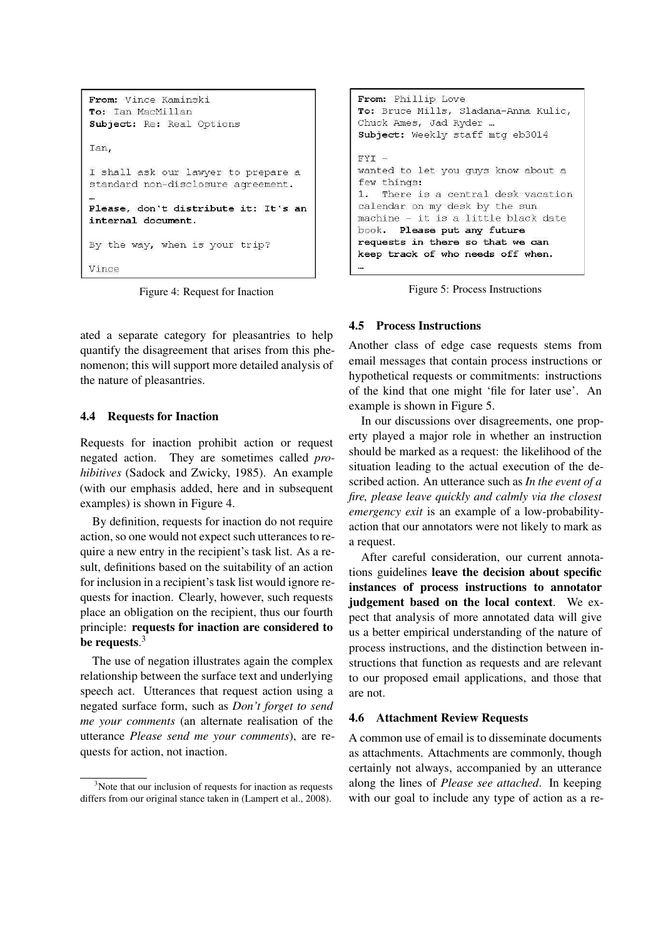```
From: Vince Kaminski
To: Ian MacMillan
Subject: Re: Real Options
Ian.
I shall ask our lawyer to prepare a
standard non-disclosure agreement.
Please, don't distribute it: It's an
internal document.
By the way, when is your trip?
Vince
```
Figure 4: Request for Inaction

ated a separate category for pleasantries to help quantify the disagreement that arises from this phenomenon; this will support more detailed analysis of the nature of pleasantries.

## 4.4 Requests for Inaction

Requests for inaction prohibit action or request negated action. They are sometimes called *prohibitives* (Sadock and Zwicky, 1985). An example (with our emphasis added, here and in subsequent examples) is shown in Figure 4.

By definition, requests for inaction do not require action, so one would not expect such utterances to require a new entry in the recipient's task list. As a result, definitions based on the suitability of an action for inclusion in a recipient's task list would ignore requests for inaction. Clearly, however, such requests place an obligation on the recipient, thus our fourth principle: requests for inaction are considered to be requests. $^3$ 

The use of negation illustrates again the complex relationship between the surface text and underlying speech act. Utterances that request action using a negated surface form, such as *Don't forget to send me your comments* (an alternate realisation of the utterance *Please send me your comments*), are requests for action, not inaction.

```
From: Phillip Love
To: Bruce Mills, Sladana-Anna Kulic,
Chuck Ames, Jad Ryder ...
Subject: Weekly staff mtg eb3014
FYI -wanted to let you guys know about a
few things:
1. There is a central desk vacation
calendar on my desk by the sun
machine - it is a little black date
book. Please put any future
requests in there so that we can
keep track of who needs off when.
```
Figure 5: Process Instructions

## 4.5 Process Instructions

Another class of edge case requests stems from email messages that contain process instructions or hypothetical requests or commitments: instructions of the kind that one might 'file for later use'. An example is shown in Figure 5.

In our discussions over disagreements, one property played a major role in whether an instruction should be marked as a request: the likelihood of the situation leading to the actual execution of the described action. An utterance such as *In the event of a fire, please leave quickly and calmly via the closest emergency exit* is an example of a low-probabilityaction that our annotators were not likely to mark as a request.

After careful consideration, our current annotations guidelines leave the decision about specific instances of process instructions to annotator judgement based on the local context. We expect that analysis of more annotated data will give us a better empirical understanding of the nature of process instructions, and the distinction between instructions that function as requests and are relevant to our proposed email applications, and those that are not.

## 4.6 Attachment Review Requests

A common use of email is to disseminate documents as attachments. Attachments are commonly, though certainly not always, accompanied by an utterance along the lines of *Please see attached*. In keeping with our goal to include any type of action as a re-

<sup>&</sup>lt;sup>3</sup>Note that our inclusion of requests for inaction as requests differs from our original stance taken in (Lampert et al., 2008).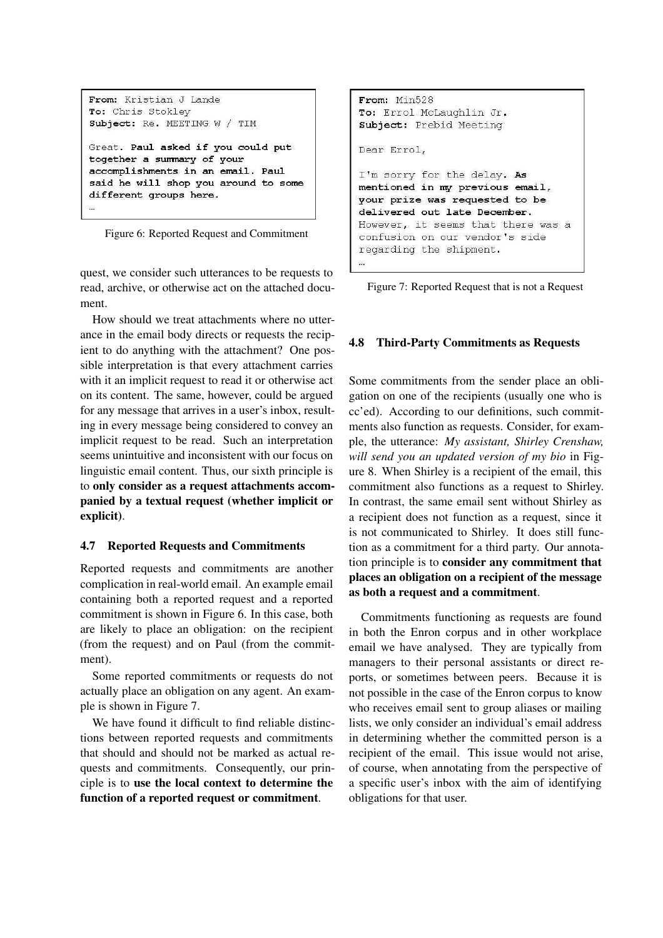```
From: Kristian J Lande
To: Chris Stoklev
Subject: Re. MEETING W / TIM
Great. Paul asked if you could put
together a summary of your
accomplishments in an email. Paul
said he will shop you around to some
different groups here.
```
Figure 6: Reported Request and Commitment

quest, we consider such utterances to be requests to read, archive, or otherwise act on the attached document.

How should we treat attachments where no utterance in the email body directs or requests the recipient to do anything with the attachment? One possible interpretation is that every attachment carries with it an implicit request to read it or otherwise act on its content. The same, however, could be argued for any message that arrives in a user's inbox, resulting in every message being considered to convey an implicit request to be read. Such an interpretation seems unintuitive and inconsistent with our focus on linguistic email content. Thus, our sixth principle is to only consider as a request attachments accompanied by a textual request (whether implicit or explicit).

## 4.7 Reported Requests and Commitments

Reported requests and commitments are another complication in real-world email. An example email containing both a reported request and a reported commitment is shown in Figure 6. In this case, both are likely to place an obligation: on the recipient (from the request) and on Paul (from the commitment).

Some reported commitments or requests do not actually place an obligation on any agent. An example is shown in Figure 7.

We have found it difficult to find reliable distinctions between reported requests and commitments that should and should not be marked as actual requests and commitments. Consequently, our principle is to use the local context to determine the function of a reported request or commitment.

```
From: Min528
To: Errol McLaughlin Jr.
Subject: Prebid Meeting
Dear Errol,
I'm sorry for the delay. As
mentioned in my previous email,
your prize was requested to be
delivered out late December.
However, it seems that there was a
confusion on our vendor's side
regarding the shipment.
```
Figure 7: Reported Request that is not a Request

#### 4.8 Third-Party Commitments as Requests

...

Some commitments from the sender place an obligation on one of the recipients (usually one who is cc'ed). According to our definitions, such commitments also function as requests. Consider, for example, the utterance: *My assistant, Shirley Crenshaw, will send you an updated version of my bio* in Figure 8. When Shirley is a recipient of the email, this commitment also functions as a request to Shirley. In contrast, the same email sent without Shirley as a recipient does not function as a request, since it is not communicated to Shirley. It does still function as a commitment for a third party. Our annotation principle is to consider any commitment that places an obligation on a recipient of the message as both a request and a commitment.

Commitments functioning as requests are found in both the Enron corpus and in other workplace email we have analysed. They are typically from managers to their personal assistants or direct reports, or sometimes between peers. Because it is not possible in the case of the Enron corpus to know who receives email sent to group aliases or mailing lists, we only consider an individual's email address in determining whether the committed person is a recipient of the email. This issue would not arise, of course, when annotating from the perspective of a specific user's inbox with the aim of identifying obligations for that user.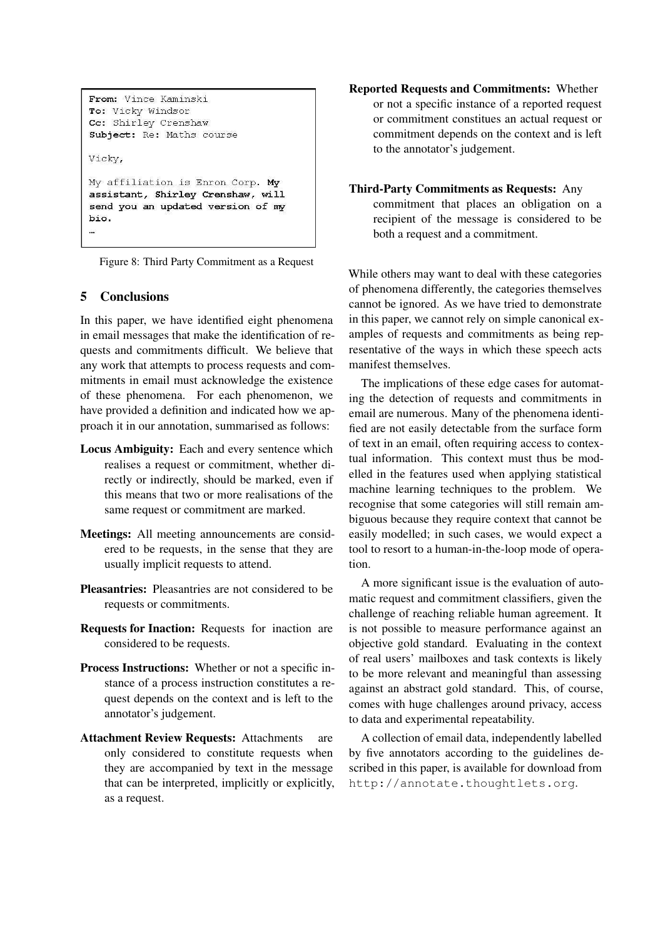```
From: Vince Kaminski
To: Vicky Windsor
Cc: Shirley Crenshaw
Subject: Re: Maths course
Vicky,
My affiliation is Enron Corp. My
assistant, Shirley Crenshaw, will
send you an updated version of my
bio.
\bar{\mathbf{z}}
```
Figure 8: Third Party Commitment as a Request

## 5 Conclusions

In this paper, we have identified eight phenomena in email messages that make the identification of requests and commitments difficult. We believe that any work that attempts to process requests and commitments in email must acknowledge the existence of these phenomena. For each phenomenon, we have provided a definition and indicated how we approach it in our annotation, summarised as follows:

- Locus Ambiguity: Each and every sentence which realises a request or commitment, whether directly or indirectly, should be marked, even if this means that two or more realisations of the same request or commitment are marked.
- Meetings: All meeting announcements are considered to be requests, in the sense that they are usually implicit requests to attend.
- Pleasantries: Pleasantries are not considered to be requests or commitments.
- Requests for Inaction: Requests for inaction are considered to be requests.
- Process Instructions: Whether or not a specific instance of a process instruction constitutes a request depends on the context and is left to the annotator's judgement.
- Attachment Review Requests: Attachments are only considered to constitute requests when they are accompanied by text in the message that can be interpreted, implicitly or explicitly, as a request.

Reported Requests and Commitments: Whether or not a specific instance of a reported request or commitment constitues an actual request or commitment depends on the context and is left to the annotator's judgement.

## Third-Party Commitments as Requests: Any

commitment that places an obligation on a recipient of the message is considered to be both a request and a commitment.

While others may want to deal with these categories of phenomena differently, the categories themselves cannot be ignored. As we have tried to demonstrate in this paper, we cannot rely on simple canonical examples of requests and commitments as being representative of the ways in which these speech acts manifest themselves.

The implications of these edge cases for automating the detection of requests and commitments in email are numerous. Many of the phenomena identified are not easily detectable from the surface form of text in an email, often requiring access to contextual information. This context must thus be modelled in the features used when applying statistical machine learning techniques to the problem. We recognise that some categories will still remain ambiguous because they require context that cannot be easily modelled; in such cases, we would expect a tool to resort to a human-in-the-loop mode of operation.

A more significant issue is the evaluation of automatic request and commitment classifiers, given the challenge of reaching reliable human agreement. It is not possible to measure performance against an objective gold standard. Evaluating in the context of real users' mailboxes and task contexts is likely to be more relevant and meaningful than assessing against an abstract gold standard. This, of course, comes with huge challenges around privacy, access to data and experimental repeatability.

A collection of email data, independently labelled by five annotators according to the guidelines described in this paper, is available for download from http://annotate.thoughtlets.org.